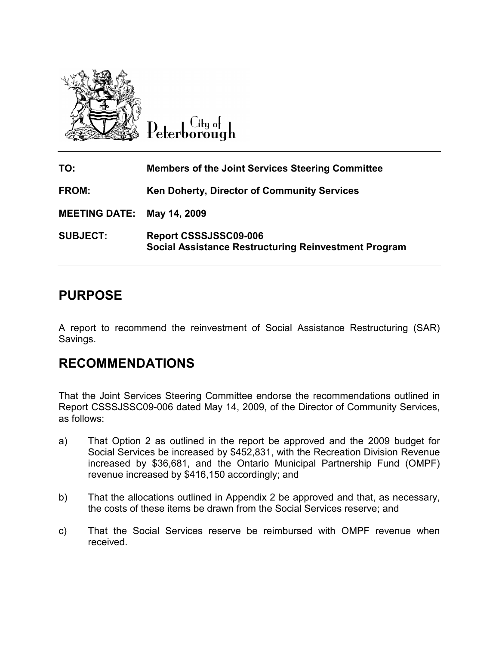

Uitu ot eterborough

| TO:                        | <b>Members of the Joint Services Steering Committee</b>                              |
|----------------------------|--------------------------------------------------------------------------------------|
| <b>FROM:</b>               | Ken Doherty, Director of Community Services                                          |
| MEETING DATE: May 14, 2009 |                                                                                      |
| <b>SUBJECT:</b>            | Report CSSSJSSC09-006<br><b>Social Assistance Restructuring Reinvestment Program</b> |

# PURPOSE

A report to recommend the reinvestment of Social Assistance Restructuring (SAR) Savings.

## RECOMMENDATIONS

That the Joint Services Steering Committee endorse the recommendations outlined in Report CSSSJSSC09-006 dated May 14, 2009, of the Director of Community Services, as follows:

- a) That Option 2 as outlined in the report be approved and the 2009 budget for Social Services be increased by \$452,831, with the Recreation Division Revenue increased by \$36,681, and the Ontario Municipal Partnership Fund (OMPF) revenue increased by \$416,150 accordingly; and
- b) That the allocations outlined in Appendix 2 be approved and that, as necessary, the costs of these items be drawn from the Social Services reserve; and
- c) That the Social Services reserve be reimbursed with OMPF revenue when received.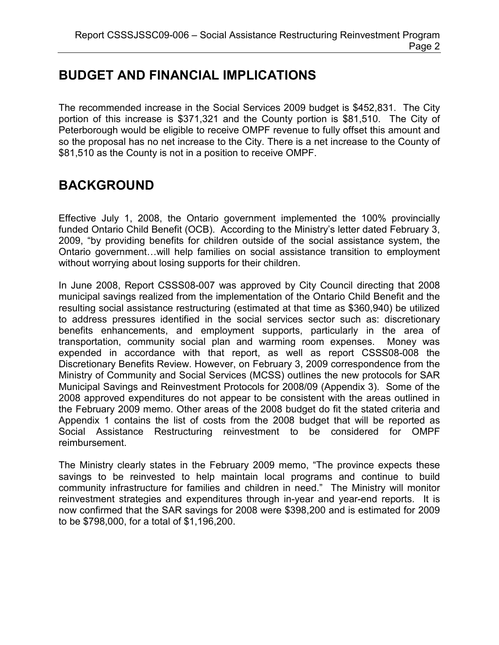# BUDGET AND FINANCIAL IMPLICATIONS

The recommended increase in the Social Services 2009 budget is \$452,831. The City portion of this increase is \$371,321 and the County portion is \$81,510. The City of Peterborough would be eligible to receive OMPF revenue to fully offset this amount and so the proposal has no net increase to the City. There is a net increase to the County of \$81,510 as the County is not in a position to receive OMPF.

# BACKGROUND

Effective July 1, 2008, the Ontario government implemented the 100% provincially funded Ontario Child Benefit (OCB). According to the Ministry's letter dated February 3, 2009, "by providing benefits for children outside of the social assistance system, the Ontario government…will help families on social assistance transition to employment without worrying about losing supports for their children.

In June 2008, Report CSSS08-007 was approved by City Council directing that 2008 municipal savings realized from the implementation of the Ontario Child Benefit and the resulting social assistance restructuring (estimated at that time as \$360,940) be utilized to address pressures identified in the social services sector such as: discretionary benefits enhancements, and employment supports, particularly in the area of transportation, community social plan and warming room expenses. Money was expended in accordance with that report, as well as report CSSS08-008 the Discretionary Benefits Review. However, on February 3, 2009 correspondence from the Ministry of Community and Social Services (MCSS) outlines the new protocols for SAR Municipal Savings and Reinvestment Protocols for 2008/09 (Appendix 3). Some of the 2008 approved expenditures do not appear to be consistent with the areas outlined in the February 2009 memo. Other areas of the 2008 budget do fit the stated criteria and Appendix 1 contains the list of costs from the 2008 budget that will be reported as Social Assistance Restructuring reinvestment to be considered for OMPF reimbursement.

The Ministry clearly states in the February 2009 memo, "The province expects these savings to be reinvested to help maintain local programs and continue to build community infrastructure for families and children in need." The Ministry will monitor reinvestment strategies and expenditures through in-year and year-end reports. It is now confirmed that the SAR savings for 2008 were \$398,200 and is estimated for 2009 to be \$798,000, for a total of \$1,196,200.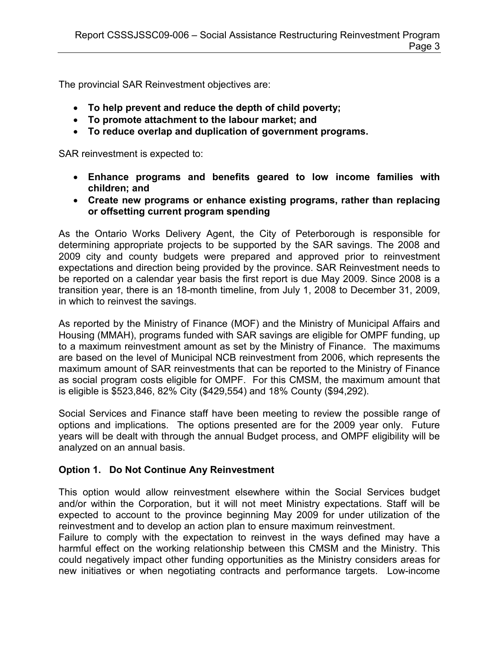The provincial SAR Reinvestment objectives are:

- To help prevent and reduce the depth of child poverty;
- To promote attachment to the labour market; and
- To reduce overlap and duplication of government programs.

SAR reinvestment is expected to:

- Enhance programs and benefits geared to low income families with children; and
- Create new programs or enhance existing programs, rather than replacing or offsetting current program spending

As the Ontario Works Delivery Agent, the City of Peterborough is responsible for determining appropriate projects to be supported by the SAR savings. The 2008 and 2009 city and county budgets were prepared and approved prior to reinvestment expectations and direction being provided by the province. SAR Reinvestment needs to be reported on a calendar year basis the first report is due May 2009. Since 2008 is a transition year, there is an 18-month timeline, from July 1, 2008 to December 31, 2009, in which to reinvest the savings.

As reported by the Ministry of Finance (MOF) and the Ministry of Municipal Affairs and Housing (MMAH), programs funded with SAR savings are eligible for OMPF funding, up to a maximum reinvestment amount as set by the Ministry of Finance. The maximums are based on the level of Municipal NCB reinvestment from 2006, which represents the maximum amount of SAR reinvestments that can be reported to the Ministry of Finance as social program costs eligible for OMPF. For this CMSM, the maximum amount that is eligible is \$523,846, 82% City (\$429,554) and 18% County (\$94,292).

Social Services and Finance staff have been meeting to review the possible range of options and implications. The options presented are for the 2009 year only. Future years will be dealt with through the annual Budget process, and OMPF eligibility will be analyzed on an annual basis.

#### Option 1. Do Not Continue Any Reinvestment

This option would allow reinvestment elsewhere within the Social Services budget and/or within the Corporation, but it will not meet Ministry expectations. Staff will be expected to account to the province beginning May 2009 for under utilization of the reinvestment and to develop an action plan to ensure maximum reinvestment.

Failure to comply with the expectation to reinvest in the ways defined may have a harmful effect on the working relationship between this CMSM and the Ministry. This could negatively impact other funding opportunities as the Ministry considers areas for new initiatives or when negotiating contracts and performance targets. Low-income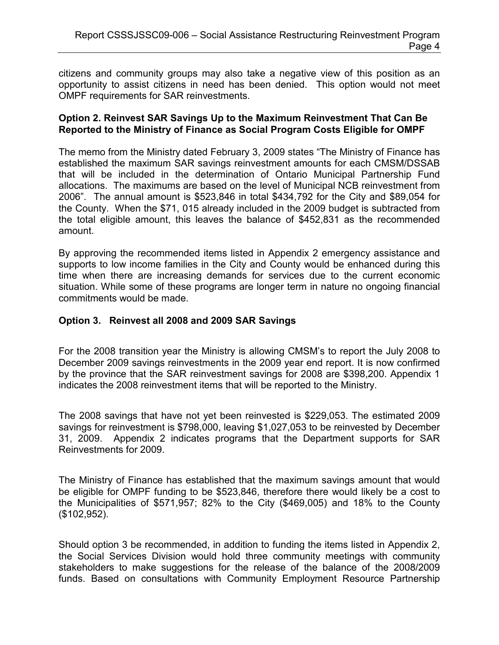citizens and community groups may also take a negative view of this position as an opportunity to assist citizens in need has been denied. This option would not meet OMPF requirements for SAR reinvestments.

#### Option 2. Reinvest SAR Savings Up to the Maximum Reinvestment That Can Be Reported to the Ministry of Finance as Social Program Costs Eligible for OMPF

The memo from the Ministry dated February 3, 2009 states "The Ministry of Finance has established the maximum SAR savings reinvestment amounts for each CMSM/DSSAB that will be included in the determination of Ontario Municipal Partnership Fund allocations. The maximums are based on the level of Municipal NCB reinvestment from 2006". The annual amount is \$523,846 in total \$434,792 for the City and \$89,054 for the County. When the \$71, 015 already included in the 2009 budget is subtracted from the total eligible amount, this leaves the balance of \$452,831 as the recommended amount.

By approving the recommended items listed in Appendix 2 emergency assistance and supports to low income families in the City and County would be enhanced during this time when there are increasing demands for services due to the current economic situation. While some of these programs are longer term in nature no ongoing financial commitments would be made.

#### Option 3. Reinvest all 2008 and 2009 SAR Savings

For the 2008 transition year the Ministry is allowing CMSM's to report the July 2008 to December 2009 savings reinvestments in the 2009 year end report. It is now confirmed by the province that the SAR reinvestment savings for 2008 are \$398,200. Appendix 1 indicates the 2008 reinvestment items that will be reported to the Ministry.

The 2008 savings that have not yet been reinvested is \$229,053. The estimated 2009 savings for reinvestment is \$798,000, leaving \$1,027,053 to be reinvested by December 31, 2009. Appendix 2 indicates programs that the Department supports for SAR Reinvestments for 2009.

The Ministry of Finance has established that the maximum savings amount that would be eligible for OMPF funding to be \$523,846, therefore there would likely be a cost to the Municipalities of \$571,957; 82% to the City (\$469,005) and 18% to the County (\$102,952).

Should option 3 be recommended, in addition to funding the items listed in Appendix 2, the Social Services Division would hold three community meetings with community stakeholders to make suggestions for the release of the balance of the 2008/2009 funds. Based on consultations with Community Employment Resource Partnership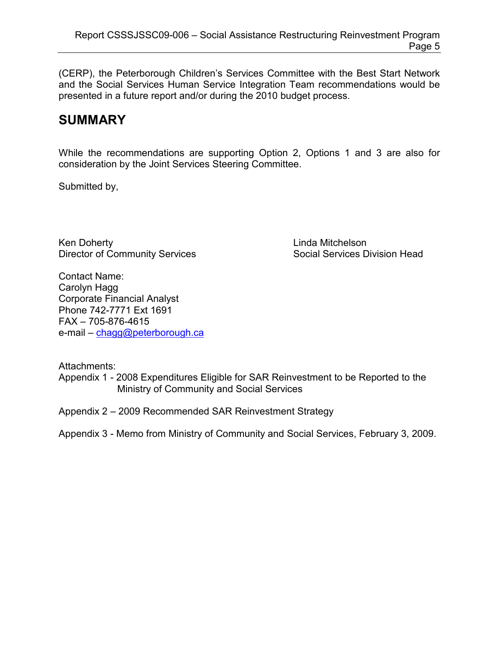(CERP), the Peterborough Children's Services Committee with the Best Start Network and the Social Services Human Service Integration Team recommendations would be presented in a future report and/or during the 2010 budget process.

# **SUMMARY**

While the recommendations are supporting Option 2, Options 1 and 3 are also for consideration by the Joint Services Steering Committee.

Submitted by,

Ken Doherty **Linda Mitchelson** Director of Community Services Social Services Division Head

Contact Name: Carolyn Hagg Corporate Financial Analyst Phone 742-7771 Ext 1691 FAX – 705-876-4615 e-mail – [chagg@peterborough.ca](mailto:chagg@peterborough.ca)

Attachments:

Appendix 1 - 2008 Expenditures Eligible for SAR Reinvestment to be Reported to the Ministry of Community and Social Services

Appendix 2 – 2009 Recommended SAR Reinvestment Strategy

Appendix 3 - Memo from Ministry of Community and Social Services, February 3, 2009.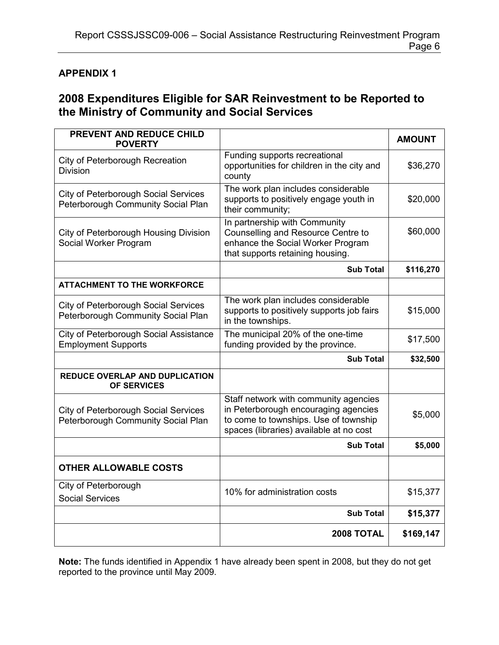#### APPENDIX 1

### 2008 Expenditures Eligible for SAR Reinvestment to be Reported to the Ministry of Community and Social Services

| PREVENT AND REDUCE CHILD<br><b>POVERTY</b>                                        |                                                                                                                                                                   | <b>AMOUNT</b> |
|-----------------------------------------------------------------------------------|-------------------------------------------------------------------------------------------------------------------------------------------------------------------|---------------|
| City of Peterborough Recreation<br><b>Division</b>                                | Funding supports recreational<br>opportunities for children in the city and<br>county                                                                             | \$36,270      |
| <b>City of Peterborough Social Services</b><br>Peterborough Community Social Plan | The work plan includes considerable<br>supports to positively engage youth in<br>their community;                                                                 | \$20,000      |
| City of Peterborough Housing Division<br>Social Worker Program                    | In partnership with Community<br>Counselling and Resource Centre to<br>enhance the Social Worker Program<br>that supports retaining housing.                      | \$60,000      |
|                                                                                   | <b>Sub Total</b>                                                                                                                                                  | \$116,270     |
| <b>ATTACHMENT TO THE WORKFORCE</b>                                                |                                                                                                                                                                   |               |
| <b>City of Peterborough Social Services</b><br>Peterborough Community Social Plan | The work plan includes considerable<br>supports to positively supports job fairs<br>in the townships.                                                             | \$15,000      |
| City of Peterborough Social Assistance<br><b>Employment Supports</b>              | The municipal 20% of the one-time<br>funding provided by the province.                                                                                            | \$17,500      |
|                                                                                   | <b>Sub Total</b>                                                                                                                                                  | \$32,500      |
| <b>REDUCE OVERLAP AND DUPLICATION</b><br><b>OF SERVICES</b>                       |                                                                                                                                                                   |               |
| <b>City of Peterborough Social Services</b><br>Peterborough Community Social Plan | Staff network with community agencies<br>in Peterborough encouraging agencies<br>to come to townships. Use of township<br>spaces (libraries) available at no cost | \$5,000       |
|                                                                                   | <b>Sub Total</b>                                                                                                                                                  | \$5,000       |
| <b>OTHER ALLOWABLE COSTS</b>                                                      |                                                                                                                                                                   |               |
| City of Peterborough<br><b>Social Services</b>                                    | 10% for administration costs                                                                                                                                      | \$15,377      |
|                                                                                   | <b>Sub Total</b>                                                                                                                                                  | \$15,377      |
|                                                                                   | 2008 TOTAL                                                                                                                                                        | \$169,147     |

Note: The funds identified in Appendix 1 have already been spent in 2008, but they do not get reported to the province until May 2009.